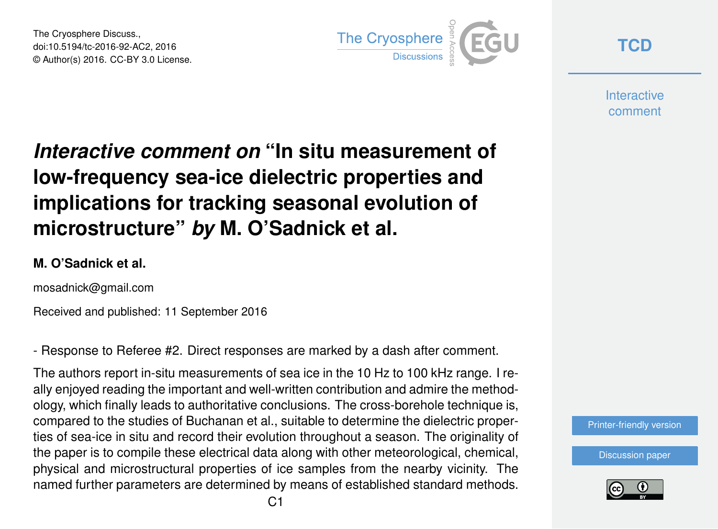The Cryosphere Discuss., doi:10.5194/tc-2016-92-AC2, 2016 © Author(s) 2016. CC-BY 3.0 License.



**[TCD](http://www.the-cryosphere-discuss.net/)**

**Interactive** comment

## *Interactive comment on* **"In situ measurement of low-frequency sea-ice dielectric properties and implications for tracking seasonal evolution of microstructure"** *by* **M. O'Sadnick et al.**

## **M. O'Sadnick et al.**

mosadnick@gmail.com

Received and published: 11 September 2016

- Response to Referee #2. Direct responses are marked by a dash after comment.

The authors report in-situ measurements of sea ice in the 10 Hz to 100 kHz range. I really enjoyed reading the important and well-written contribution and admire the methodology, which finally leads to authoritative conclusions. The cross-borehole technique is, compared to the studies of Buchanan et al., suitable to determine the dielectric properties of sea-ice in situ and record their evolution throughout a season. The originality of the paper is to compile these electrical data along with other meteorological, chemical, physical and microstructural properties of ice samples from the nearby vicinity. The named further parameters are determined by means of established standard methods.



[Discussion paper](http://www.the-cryosphere-discuss.net/tc-2016-92)

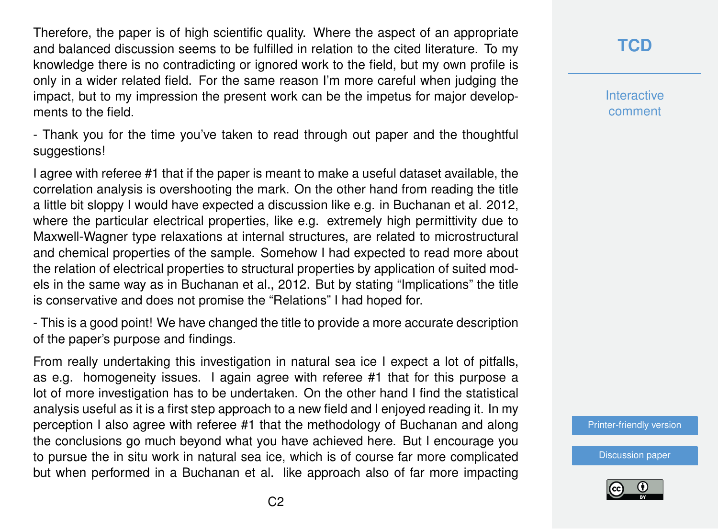Therefore, the paper is of high scientific quality. Where the aspect of an appropriate and balanced discussion seems to be fulfilled in relation to the cited literature. To my knowledge there is no contradicting or ignored work to the field, but my own profile is only in a wider related field. For the same reason I'm more careful when judging the impact, but to my impression the present work can be the impetus for major developments to the field.

- Thank you for the time you've taken to read through out paper and the thoughtful suggestions!

I agree with referee #1 that if the paper is meant to make a useful dataset available, the correlation analysis is overshooting the mark. On the other hand from reading the title a little bit sloppy I would have expected a discussion like e.g. in Buchanan et al. 2012, where the particular electrical properties, like e.g. extremely high permittivity due to Maxwell-Wagner type relaxations at internal structures, are related to microstructural and chemical properties of the sample. Somehow I had expected to read more about the relation of electrical properties to structural properties by application of suited models in the same way as in Buchanan et al., 2012. But by stating "Implications" the title is conservative and does not promise the "Relations" I had hoped for.

- This is a good point! We have changed the title to provide a more accurate description of the paper's purpose and findings.

From really undertaking this investigation in natural sea ice I expect a lot of pitfalls, as e.g. homogeneity issues. I again agree with referee #1 that for this purpose a lot of more investigation has to be undertaken. On the other hand I find the statistical analysis useful as it is a first step approach to a new field and I enjoyed reading it. In my perception I also agree with referee #1 that the methodology of Buchanan and along the conclusions go much beyond what you have achieved here. But I encourage you to pursue the in situ work in natural sea ice, which is of course far more complicated but when performed in a Buchanan et al. like approach also of far more impacting **[TCD](http://www.the-cryosphere-discuss.net/)**

**Interactive** comment

[Printer-friendly version](http://www.the-cryosphere-discuss.net/tc-2016-92/tc-2016-92-AC2-print.pdf)

[Discussion paper](http://www.the-cryosphere-discuss.net/tc-2016-92)